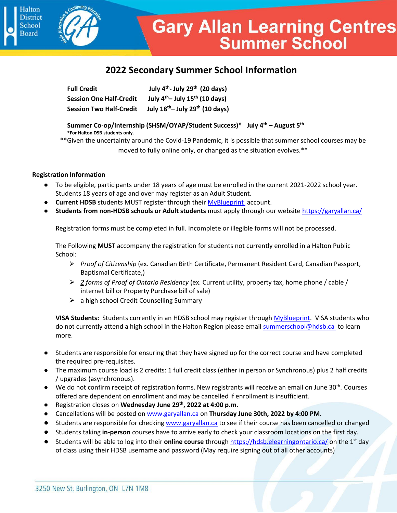# **2022 Secondary Summer School Information**

| <b>Full Credit</b>             | July $4th$ - July 29 <sup>th</sup> (20 days) |
|--------------------------------|----------------------------------------------|
| <b>Session One Half-Credit</b> | July $4th$ - July 15 <sup>th</sup> (10 days) |
| <b>Session Two Half-Credit</b> | July $18^{th}$ – July $29^{th}$ (10 days)    |

**Summer Co-op/Internship (SHSM/OYAP/Student Success)\* July 4th – August 5 th \*For Halton DSB students only.** 

\*\*Given the uncertainty around the Covid-19 Pandemic, it is possible that summer school courses may be moved to fully online only, or changed as the situation evolves.\*\*

## **Registration Information**

**Halton District** 

**School Board** 

- To be eligible, participants under 18 years of age must be enrolled in the current 2021-2022 school year. Students 18 years of age and over may register as an Adult Student.
- **Current HDSB** students MUST register through their **MyBlueprint** account.
- **Students from non-HDSB schools or Adult students** must apply through our website [https://garyallan.ca/](https://garyallan.ca/high-school-students/secondary-summer-school/)

Registration forms must be completed in full. Incomplete or illegible forms will not be processed.

The Following **MUST** accompany the registration for students not currently enrolled in a Halton Public School:

- ⮚ *Proof of Citizenship* (ex. Canadian Birth Certificate, Permanent Resident Card, Canadian Passport, Baptismal Certificate,)
- ⮚ *2 forms of Proof of Ontario Residency* (ex. Current utility, property tax, home phone / cable / internet bill or Property Purchase bill of sale)
- $\triangleright$  a high school Credit Counselling Summary

**VISA Students:** Students currently in an HDSB school may register through [MyBlueprint.](http://www.myblueprint.ca/halton) VISA students who do not currently attend a high school in the Halton Region please emai[l summerschool@hdsb.ca](mailto:summerschool@hdsb.ca) to learn more.

- Students are responsible for ensuring that they have signed up for the correct course and have completed the required pre-requisites.
- The maximum course load is 2 credits: 1 full credit class (either in person or Synchronous) plus 2 half credits / upgrades (asynchronous).
- We do not confirm receipt of registration forms. New registrants will receive an email on June 30<sup>th</sup>. Courses offered are dependent on enrollment and may be cancelled if enrollment is insufficient.
- Registration closes on **Wednesday June 29 th, 2022 at 4:00 p.m**.
- Cancellations will be posted o[n www.garyallan.ca](http://www.garyallan.ca/) on **Thursday June 30th, 2022 by 4:00 PM**.
- Students are responsible for checking [www.garyallan.ca](http://www.garyallan.ca/) to see if their course has been cancelled or changed
- Students taking **in-person** courses have to arrive early to check your classroom locations on the first day.
- Students will be able to log into their **online course** through<https://hdsb.elearningontario.ca/> on the 1st day of class using their HDSB username and password (May require signing out of all other accounts)